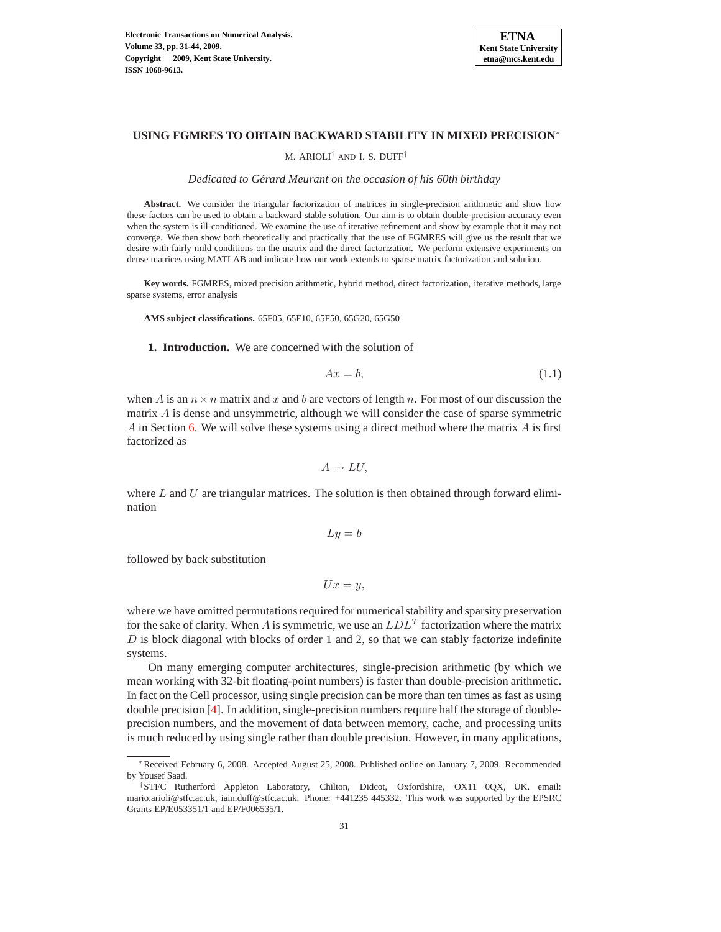

## **USING FGMRES TO OBTAIN BACKWARD STABILITY IN MIXED PRECISION** ∗

## M. ARIOLI† AND I. S. DUFF†

#### *Dedicated to Gerard Meurant on the occasion of his 60th birthday ´*

**Abstract.** We consider the triangular factorization of matrices in single-precision arithmetic and show how these factors can be used to obtain a backward stable solution. Our aim is to obtain double-precision accuracy even when the system is ill-conditioned. We examine the use of iterative refinement and show by example that it may not converge. We then show both theoretically and practically that the use of FGMRES will give us the result that we desire with fairly mild conditions on the matrix and the direct factorization. We perform extensive experiments on dense matrices using MATLAB and indicate how our work extends to sparse matrix factorization and solution.

**Key words.** FGMRES, mixed precision arithmetic, hybrid method, direct factorization, iterative methods, large sparse systems, error analysis

<span id="page-0-1"></span>**AMS subject classifications.** 65F05, 65F10, 65F50, 65G20, 65G50

**1. Introduction.** We are concerned with the solution of

<span id="page-0-0"></span>
$$
Ax = b,\tag{1.1}
$$

when A is an  $n \times n$  matrix and x and b are vectors of length n. For most of our discussion the matrix A is dense and unsymmetric, although we will consider the case of sparse symmetric A in Section [6.](#page-11-0) We will solve these systems using a direct method where the matrix  $\vec{A}$  is first factorized as

$$
A \to LU,
$$

where  $L$  and  $U$  are triangular matrices. The solution is then obtained through forward elimination

$$
Ly = b
$$

followed by back substitution

$$
Ux=y,
$$

where we have omitted permutations required for numerical stability and sparsity preservation for the sake of clarity. When A is symmetric, we use an  $LDL<sup>T</sup>$  factorization where the matrix  $D$  is block diagonal with blocks of order 1 and 2, so that we can stably factorize indefinite systems.

On many emerging computer architectures, single-precision arithmetic (by which we mean working with 32-bit floating-point numbers) is faster than double-precision arithmetic. In fact on the Cell processor, using single precision can be more than ten times as fast as using double precision [\[4\]](#page-12-0). In addition, single-precision numbers require half the storage of doubleprecision numbers, and the movement of data between memory, cache, and processing units is much reduced by using single rather than double precision. However, in many applications,

<sup>∗</sup>Received February 6, 2008. Accepted August 25, 2008. Published online on January 7, 2009. Recommended by Yousef Saad.

<sup>†</sup>STFC Rutherford Appleton Laboratory, Chilton, Didcot, Oxfordshire, OX11 0QX, UK. email: mario.arioli@stfc.ac.uk, iain.duff@stfc.ac.uk. Phone: +441235 445332. This work was supported by the EPSRC Grants EP/E053351/1 and EP/F006535/1.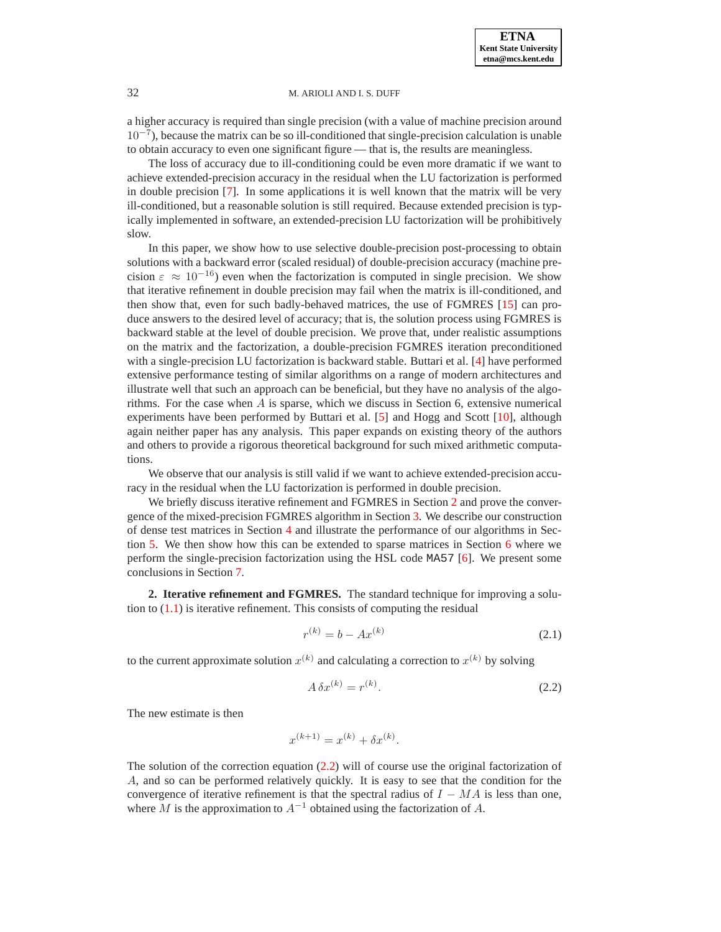a higher accuracy is required than single precision (with a value of machine precision around  $10^{-7}$ ), because the matrix can be so ill-conditioned that single-precision calculation is unable to obtain accuracy to even one significant figure — that is, the results are meaningless.

The loss of accuracy due to ill-conditioning could be even more dramatic if we want to achieve extended-precision accuracy in the residual when the LU factorization is performed in double precision [\[7\]](#page-12-1). In some applications it is well known that the matrix will be very ill-conditioned, but a reasonable solution is still required. Because extended precision is typically implemented in software, an extended-precision LU factorization will be prohibitively slow.

In this paper, we show how to use selective double-precision post-processing to obtain solutions with a backward error (scaled residual) of double-precision accuracy (machine precision  $\varepsilon \approx 10^{-16}$ ) even when the factorization is computed in single precision. We show that iterative refinement in double precision may fail when the matrix is ill-conditioned, and then show that, even for such badly-behaved matrices, the use of FGMRES [\[15\]](#page-13-0) can produce answers to the desired level of accuracy; that is, the solution process using FGMRES is backward stable at the level of double precision. We prove that, under realistic assumptions on the matrix and the factorization, a double-precision FGMRES iteration preconditioned with a single-precision LU factorization is backward stable. Buttari et al. [\[4\]](#page-12-0) have performed extensive performance testing of similar algorithms on a range of modern architectures and illustrate well that such an approach can be beneficial, but they have no analysis of the algorithms. For the case when  $A$  is sparse, which we discuss in Section 6, extensive numerical experiments have been performed by Buttari et al. [\[5\]](#page-12-2) and Hogg and Scott [\[10\]](#page-13-1), although again neither paper has any analysis. This paper expands on existing theory of the authors and others to provide a rigorous theoretical background for such mixed arithmetic computations.

We observe that our analysis is still valid if we want to achieve extended-precision accuracy in the residual when the LU factorization is performed in double precision.

We briefly discuss iterative refinement and FGMRES in Section [2](#page-1-0) and prove the convergence of the mixed-precision FGMRES algorithm in Section [3.](#page-3-0) We describe our construction of dense test matrices in Section [4](#page-7-0) and illustrate the performance of our algorithms in Section [5.](#page-8-0) We then show how this can be extended to sparse matrices in Section [6](#page-11-0) where we perform the single-precision factorization using the HSL code MA57 [\[6\]](#page-12-3). We present some conclusions in Section [7.](#page-11-1)

<span id="page-1-0"></span>**2. Iterative refinement and FGMRES.** The standard technique for improving a solution to  $(1.1)$  is iterative refinement. This consists of computing the residual

$$
r^{(k)} = b - Ax^{(k)}
$$
 (2.1)

to the current approximate solution  $x^{(k)}$  and calculating a correction to  $x^{(k)}$  by solving

<span id="page-1-1"></span>
$$
A \,\delta x^{(k)} = r^{(k)}.\tag{2.2}
$$

The new estimate is then

$$
x^{(k+1)} = x^{(k)} + \delta x^{(k)}.
$$

The solution of the correction equation [\(2.2\)](#page-1-1) will of course use the original factorization of A, and so can be performed relatively quickly. It is easy to see that the condition for the convergence of iterative refinement is that the spectral radius of  $I - MA$  is less than one, where M is the approximation to  $A^{-1}$  obtained using the factorization of A.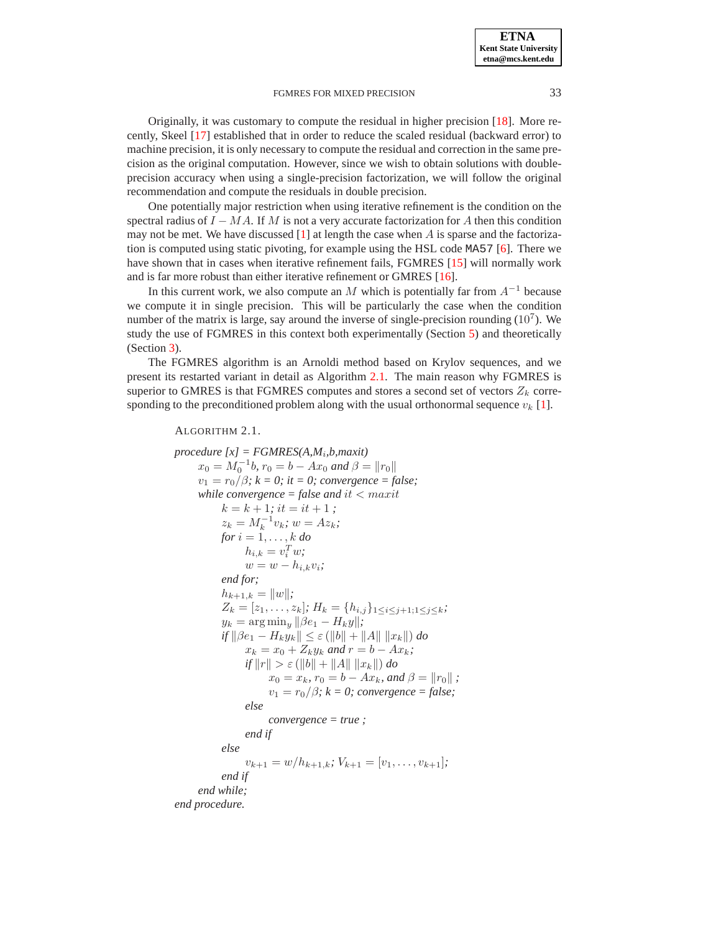Originally, it was customary to compute the residual in higher precision [\[18\]](#page-13-2). More recently, Skeel [\[17\]](#page-13-3) established that in order to reduce the scaled residual (backward error) to machine precision, it is only necessary to compute the residual and correction in the same precision as the original computation. However, since we wish to obtain solutions with doubleprecision accuracy when using a single-precision factorization, we will follow the original recommendation and compute the residuals in double precision.

One potentially major restriction when using iterative refinement is the condition on the spectral radius of  $I - MA$ . If M is not a very accurate factorization for A then this condition may not be met. We have discussed [\[1\]](#page-12-4) at length the case when A is sparse and the factorization is computed using static pivoting, for example using the HSL code MA57 [\[6\]](#page-12-3). There we have shown that in cases when iterative refinement fails, FGMRES [\[15\]](#page-13-0) will normally work and is far more robust than either iterative refinement or GMRES [\[16\]](#page-13-4).

In this current work, we also compute an M which is potentially far from  $A^{-1}$  because we compute it in single precision. This will be particularly the case when the condition number of the matrix is large, say around the inverse of single-precision rounding  $(10<sup>7</sup>)$ . We study the use of FGMRES in this context both experimentally (Section [5\)](#page-8-0) and theoretically (Section [3\)](#page-3-0).

The FGMRES algorithm is an Arnoldi method based on Krylov sequences, and we present its restarted variant in detail as Algorithm [2.1.](#page-2-0) The main reason why FGMRES is superior to GMRES is that FGMRES computes and stores a second set of vectors  $Z_k$  corresponding to the preconditioned problem along with the usual orthonormal sequence  $v_k$  [\[1\]](#page-12-4).

#### <span id="page-2-0"></span>ALGORITHM 2.1.

```
procedure [x] = FGMRES(A,Mi
,b,maxit)
      x_0 = M_0^{-1}b, r_0 = b - Ax_0 and \beta = ||r_0||v_1 = r_0/\beta; k = 0; it = 0; convergence = false;
     while convergence = false and it < maxit
            k = k + 1; it = it + 1;
            z_k = M_k^{-1} v_k; w = Az_k;for i = 1, \ldots, k do
                  h_{i,k} = v_i^T w;w = w - h_{i,k}v_i;end for;
            h_{k+1,k} = ||w||;Z_k = [z_1, \ldots, z_k]; H_k = \{h_{i,j}\}_{1 \leq i \leq j+1; 1 \leq j \leq k};
            y_k = \arg\min_y ||\beta e_1 - H_ky||;if \|\beta e_1 - H_k y_k\| \leq \varepsilon (\|b\| + \|A\| \|x_k\|) \, dox_k = x_0 + Z_k y_k and r = b - Ax_k;
                  if ||r|| > \varepsilon (||b|| + ||A|| ||x_k||) do
                        x_0 = x_k, r_0 = b - Ax_k, and \beta = ||r_0|| ;
                        v_1 = r_0/\beta; k = 0; convergence = false;
                  else
                        convergence = true ;
                 end if
            else
                  v_{k+1} = w/h_{k+1,k}; V_{k+1} = [v_1, \ldots, v_{k+1}];
            end if
     end while;
end procedure.
```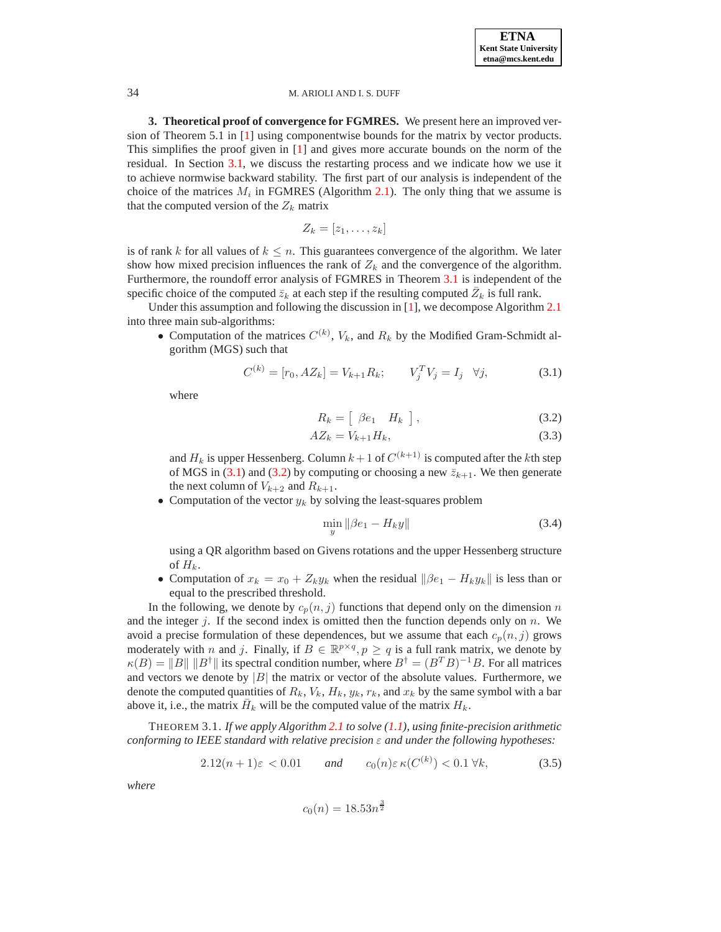<span id="page-3-0"></span>**3. Theoretical proof of convergence for FGMRES.** We present here an improved version of Theorem 5.1 in [\[1\]](#page-12-4) using componentwise bounds for the matrix by vector products. This simplifies the proof given in [\[1\]](#page-12-4) and gives more accurate bounds on the norm of the residual. In Section [3.1,](#page-6-0) we discuss the restarting process and we indicate how we use it to achieve normwise backward stability. The first part of our analysis is independent of the choice of the matrices  $M_i$  in FGMRES (Algorithm [2.1\)](#page-2-0). The only thing that we assume is that the computed version of the  $Z_k$  matrix

$$
Z_k=[z_1,\ldots,z_k]
$$

is of rank k for all values of  $k \leq n$ . This guarantees convergence of the algorithm. We later show how mixed precision influences the rank of  $Z_k$  and the convergence of the algorithm. Furthermore, the roundoff error analysis of FGMRES in Theorem [3.1](#page-3-1) is independent of the specific choice of the computed  $\bar{z}_k$  at each step if the resulting computed  $\bar{Z}_k$  is full rank.

Under this assumption and following the discussion in [\[1\]](#page-12-4), we decompose Algorithm [2.1](#page-2-0) into three main sub-algorithms:

• Computation of the matrices  $C^{(k)}$ ,  $V_k$ , and  $R_k$  by the Modified Gram-Schmidt algorithm (MGS) such that

<span id="page-3-2"></span>
$$
C^{(k)} = [r_0, AZ_k] = V_{k+1} R_k; \qquad V_j^T V_j = I_j \quad \forall j,
$$
 (3.1)

where

<span id="page-3-3"></span>
$$
R_k = \left[ \begin{array}{cc} \beta e_1 & H_k \end{array} \right], \tag{3.2}
$$

$$
AZ_k = V_{k+1}H_k,\tag{3.3}
$$

and  $H_k$  is upper Hessenberg. Column  $k+1$  of  $C^{(k+1)}$  is computed after the  $k$ th step of MGS in [\(3.1\)](#page-3-2) and [\(3.2\)](#page-3-3) by computing or choosing a new  $\bar{z}_{k+1}$ . We then generate the next column of  $V_{k+2}$  and  $R_{k+1}$ .

• Computation of the vector  $y_k$  by solving the least-squares problem

$$
\min_{y} \|\beta e_1 - H_k y\| \tag{3.4}
$$

using a QR algorithm based on Givens rotations and the upper Hessenberg structure of  $H_k$ .

• Computation of  $x_k = x_0 + Z_k y_k$  when the residual  $\|\beta e_1 - H_k y_k\|$  is less than or equal to the prescribed threshold.

In the following, we denote by  $c_p(n, j)$  functions that depend only on the dimension n and the integer j. If the second index is omitted then the function depends only on  $n$ . We avoid a precise formulation of these dependences, but we assume that each  $c_p(n, j)$  grows moderately with n and j. Finally, if  $B \in \mathbb{R}^{p \times q}$ ,  $p \ge q$  is a full rank matrix, we denote by  $\kappa(B) = ||B|| ||B^{\dagger}||$  its spectral condition number, where  $B^{\dagger} = (B^T B)^{-1} B$ . For all matrices and vectors we denote by  $|B|$  the matrix or vector of the absolute values. Furthermore, we denote the computed quantities of  $R_k$ ,  $V_k$ ,  $H_k$ ,  $y_k$ ,  $r_k$ , and  $x_k$  by the same symbol with a bar above it, i.e., the matrix  $\bar{H}_k$  will be the computed value of the matrix  $H_k$ .

<span id="page-3-1"></span>THEOREM 3.1. *If we apply Algorithm [2.1](#page-2-0) to solve [\(1.1\)](#page-0-0), using finite-precision arithmetic conforming to IEEE standard with relative precision* ε *and under the following hypotheses:*

<span id="page-3-4"></span>
$$
2.12(n+1)\varepsilon < 0.01 \qquad \text{and} \qquad c_0(n)\varepsilon \,\kappa(C^{(k)}) < 0.1 \,\forall k,\tag{3.5}
$$

*where*

$$
c_0(n) = 18.53n^{\frac{3}{2}}
$$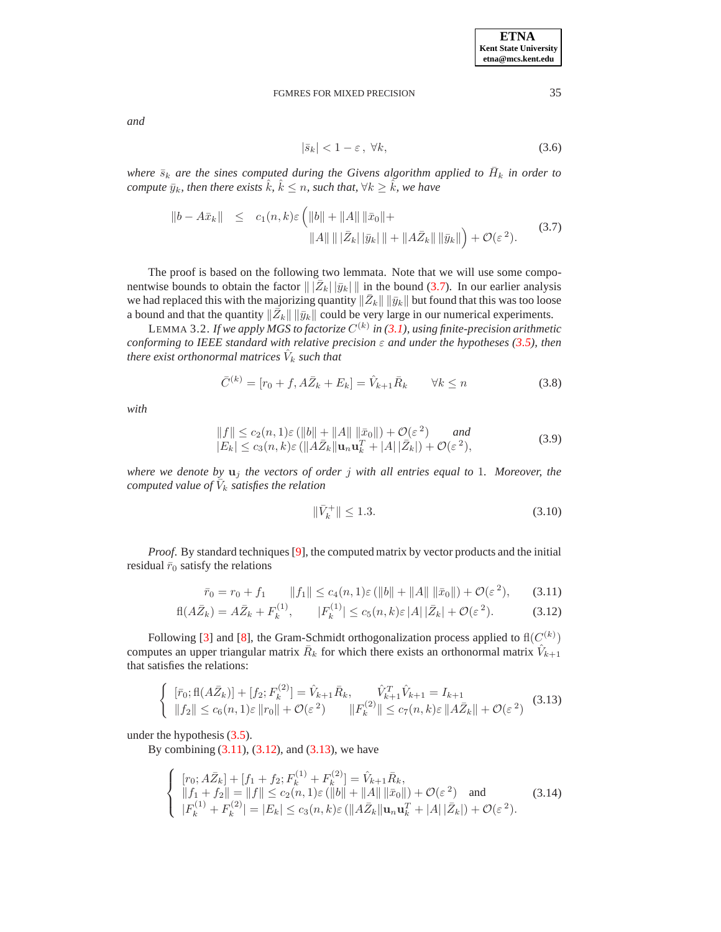*and*

<span id="page-4-5"></span>
$$
|\bar{s}_k| < 1 - \varepsilon \,, \,\forall k,\tag{3.6}
$$

where  $\bar{s}_k$  are the sines computed during the Givens algorithm applied to  $\bar{H}_k$  in order to *compute*  $\bar{y}_k$ *, then there exists*  $\hat{k}$ *,*  $\hat{k} \leq n$ *, such that,*  $\forall k \geq \hat{k}$ *, we have* 

<span id="page-4-0"></span>
$$
\begin{array}{rcl} \|b - A\bar{x}_k\| & \leq & c_1(n,k)\varepsilon \left( \|b\| + \|A\| \, \|\bar{x}_0\| + \|A\bar{z}_k\| \, \|\bar{y}_k\| + \|A\bar{Z}_k\| \, \|\bar{y}_k\| \right) + \mathcal{O}(\varepsilon^2). \end{array} \tag{3.7}
$$

The proof is based on the following two lemmata. Note that we will use some componentwise bounds to obtain the factor  $\|\bar{Z}_k\| \bar{y}_k\|$  in the bound [\(3.7\)](#page-4-0). In our earlier analysis we had replaced this with the majorizing quantity  $\|\bar{Z}_k\|$   $\|\bar{y}_k\|$  but found that this was too loose a bound and that the quantity  $\|\bar{Z}_k\| \|\bar{y}_k\|$  could be very large in our numerical experiments.

<span id="page-4-6"></span>LEMMA 3.2. If we apply MGS to factorize  $C^{(k)}$  in [\(3.1\)](#page-3-2), using finite-precision arithmetic *conforming to IEEE standard with relative precision* ε *and under the hypotheses [\(3.5\)](#page-3-4), then* there exist orthonormal matrices  $\hat{V}_k$  such that

$$
\bar{C}^{(k)} = [r_0 + f, A\bar{Z}_k + E_k] = \hat{V}_{k+1}\bar{R}_k \qquad \forall k \le n
$$
\n(3.8)

*with*

$$
||f|| \leq c_2(n,1)\varepsilon (||b|| + ||A|| ||\bar{x}_0||) + \mathcal{O}(\varepsilon^2) \quad and |E_k| \leq c_3(n,k)\varepsilon (||A\bar{Z}_k||\mathbf{u}_n\mathbf{u}_k^T + |A||\bar{Z}_k|) + \mathcal{O}(\varepsilon^2),
$$
\n(3.9)

*where we denote by* u<sup>j</sup> *the vectors of order* j *with all entries equal to* 1*. Moreover, the computed value of*  $\bar{V}_k$  *satisfies the relation* 

<span id="page-4-4"></span>
$$
\|\bar{V}_k^+\| \le 1.3. \tag{3.10}
$$

*Proof.* By standard techniques [\[9\]](#page-12-5), the computed matrix by vector products and the initial residual  $\bar{r}_0$  satisfy the relations

<span id="page-4-1"></span>
$$
\bar{r}_0 = r_0 + f_1 \qquad ||f_1|| \le c_4(n, 1)\varepsilon (||b|| + ||A|| ||\bar{x}_0||) + \mathcal{O}(\varepsilon^2), \qquad (3.11)
$$

$$
fl(A\bar{Z}_k) = A\bar{Z}_k + F_k^{(1)}, \qquad |F_k^{(1)}| \le c_5(n,k)\varepsilon |A| |\bar{Z}_k| + \mathcal{O}(\varepsilon^2). \tag{3.12}
$$

Following [\[3\]](#page-12-6) and [\[8\]](#page-12-7), the Gram-Schmidt orthogonalization process applied to  $\text{fl}(C^{(k)})$ computes an upper triangular matrix  $\overline{R}_k$  for which there exists an orthonormal matrix  $\hat{V}_{k+1}$ that satisfies the relations:

<span id="page-4-2"></span>
$$
\begin{cases} [\bar{r}_0; \text{fl}(A\bar{Z}_k)] + [f_2; F_k^{(2)}] = \hat{V}_{k+1}\bar{R}_k, \qquad \hat{V}_{k+1}^T \hat{V}_{k+1} = I_{k+1} \\ \|f_2\| \le c_6(n, 1)\varepsilon \|r_0\| + \mathcal{O}(\varepsilon^2) \qquad \|F_k^{(2)}\| \le c_7(n, k)\varepsilon \|A\bar{Z}_k\| + \mathcal{O}(\varepsilon^2) \end{cases} (3.13)
$$

under the hypothesis [\(3.5\)](#page-3-4).

By combining  $(3.11)$ ,  $(3.12)$ , and  $(3.13)$ , we have

<span id="page-4-3"></span>
$$
\begin{cases}\n[r_0; A\bar{Z}_k] + [f_1 + f_2; F_k^{(1)} + F_k^{(2)}] = \hat{V}_{k+1}\bar{R}_k, \\
\|f_1 + f_2\| = \|f\| \le c_2(n, 1)\varepsilon (\|b\| + \|A\| \|\bar{x}_0\|) + \mathcal{O}(\varepsilon^2) \text{ and } \\
|F_k^{(1)} + F_k^{(2)}| = |E_k| \le c_3(n, k)\varepsilon (\|A\bar{Z}_k\| \mathbf{u}_n \mathbf{u}_k^T + |A| \|\bar{Z}_k|) + \mathcal{O}(\varepsilon^2).\n\end{cases}
$$
\n(3.14)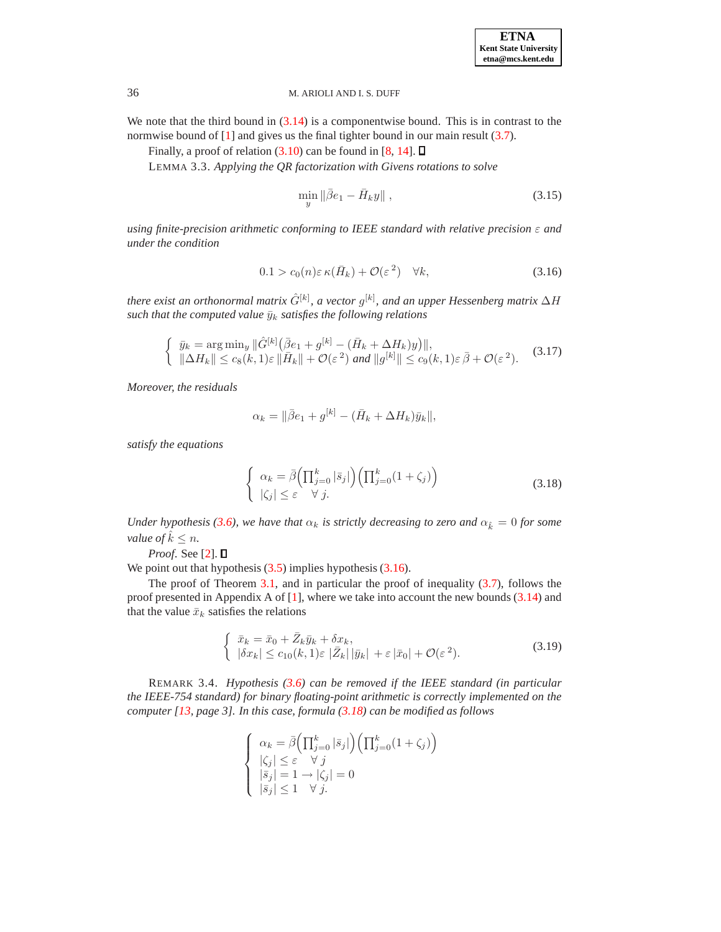We note that the third bound in  $(3.14)$  is a componentwise bound. This is in contrast to the normwise bound of [\[1\]](#page-12-4) and gives us the final tighter bound in our main result [\(3.7\)](#page-4-0).

Finally, a proof of relation  $(3.10)$  can be found in [\[8,](#page-12-7) [14\]](#page-13-5).  $\Box$ 

LEMMA 3.3. *Applying the QR factorization with Givens rotations to solve*

$$
\min_{y} \|\bar{\beta}e_1 - \bar{H}_k y\| \,,\tag{3.15}
$$

*using finite-precision arithmetic conforming to IEEE standard with relative precision* ε *and under the condition*

<span id="page-5-0"></span>
$$
0.1 > c_0(n)\varepsilon \kappa(\bar{H}_k) + \mathcal{O}(\varepsilon^2) \quad \forall k,
$$
\n(3.16)

there exist an orthonormal matrix  $\hat G^{[k]},$  a vector  $g^{[k]},$  and an upper Hessenberg matrix  $\Delta H$ *such that the computed value*  $\bar{y}_k$  *satisfies the following relations* 

$$
\begin{cases} \n\bar{y}_k = \arg\min_y \|\hat{G}^{[k]}(\bar{\beta}e_1 + g^{[k]} - (\bar{H}_k + \Delta H_k)y)\|, \\
\|\Delta H_k\| \le c_8(k, 1)\varepsilon \|\bar{H}_k\| + \mathcal{O}(\varepsilon^2) \text{ and } \|g^{[k]}\| \le c_9(k, 1)\varepsilon \bar{\beta} + \mathcal{O}(\varepsilon^2). \n\end{cases} \tag{3.17}
$$

*Moreover, the residuals*

$$
\alpha_k = ||\bar{\beta}e_1 + g^{[k]} - (\bar{H}_k + \Delta H_k)\bar{y}_k||,
$$

*satisfy the equations*

<span id="page-5-1"></span>
$$
\begin{cases}\n\alpha_k = \bar{\beta} \left( \prod_{j=0}^k |\bar{s}_j| \right) \left( \prod_{j=0}^k (1 + \zeta_j) \right) \\
|\zeta_j| \leq \varepsilon \quad \forall \ j.\n\end{cases} \tag{3.18}
$$

*Under hypothesis [\(3.6\)](#page-4-5), we have that*  $\alpha_k$  *is strictly decreasing to zero and*  $\alpha_{\hat{k}} = 0$  *for some value of*  $\hat{k} \leq n$ .

*Proof*. See [\[2\]](#page-12-8).

We point out that hypothesis  $(3.5)$  implies hypothesis  $(3.16)$ .

The proof of Theorem [3.1,](#page-3-1) and in particular the proof of inequality [\(3.7\)](#page-4-0), follows the proof presented in Appendix A of  $[1]$ , where we take into account the new bounds  $(3.14)$  and that the value  $\bar{x}_k$  satisfies the relations

<span id="page-5-2"></span>
$$
\begin{cases} \n\bar{x}_k = \bar{x}_0 + \bar{Z}_k \bar{y}_k + \delta x_k, \\
|\delta x_k| \le c_{10}(k, 1)\varepsilon |\bar{Z}_k| |\bar{y}_k| + \varepsilon |\bar{x}_0| + \mathcal{O}(\varepsilon^2). \n\end{cases} \tag{3.19}
$$

REMARK 3.4. *Hypothesis [\(3.6\)](#page-4-5) can be removed if the IEEE standard (in particular the IEEE-754 standard) for binary floating-point arithmetic is correctly implemented on the computer [\[13,](#page-13-6) page 3]. In this case, formula [\(3.18\)](#page-5-1) can be modified as follows*

$$
\begin{cases}\n\alpha_k = \bar{\beta} \left( \prod_{j=0}^k |\bar{s}_j| \right) \left( \prod_{j=0}^k (1 + \zeta_j) \right) \\
|\zeta_j| \leq \varepsilon \quad \forall j \\
|\bar{s}_j| = 1 \rightarrow |\zeta_j| = 0 \\
|\bar{s}_j| \leq 1 \quad \forall j.\n\end{cases}
$$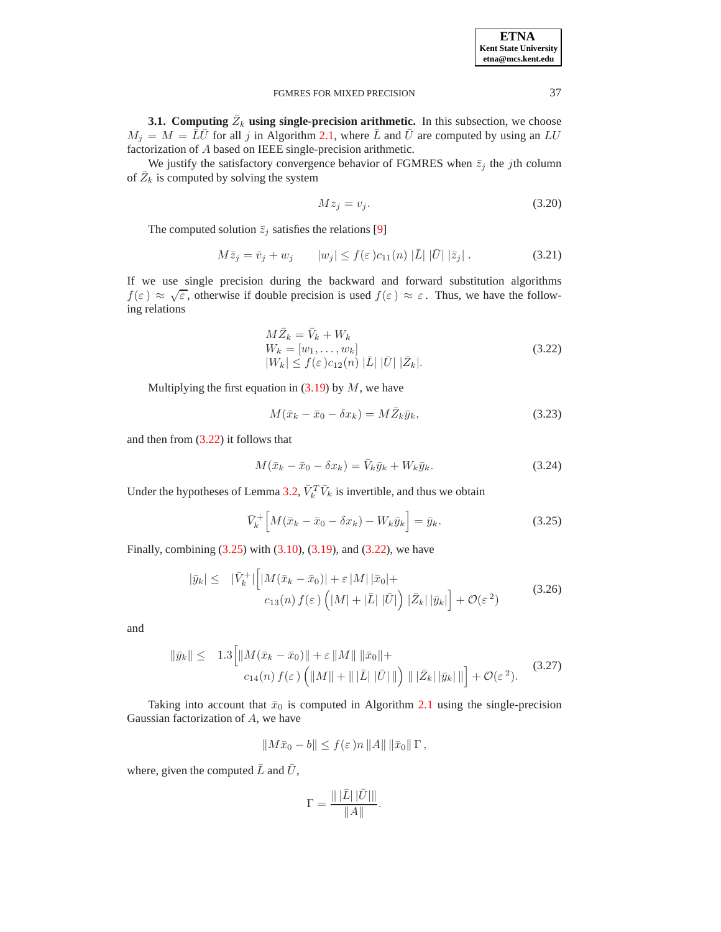| <b>ETNA</b>                  |
|------------------------------|
| <b>Kent State University</b> |
| etna@mcs.kent.edu            |

<span id="page-6-0"></span>**3.1.** Computing  $\bar{Z}_k$  using single-precision arithmetic. In this subsection, we choose  $M_j = M = \overline{L}\overline{U}$  for all j in Algorithm [2.1,](#page-2-0) where  $\overline{L}$  and  $\overline{U}$  are computed by using an  $LU$ factorization of A based on IEEE single-precision arithmetic.

We justify the satisfactory convergence behavior of FGMRES when  $\bar{z}_i$  the jth column of  $\bar{Z}_k$  is computed by solving the system

<span id="page-6-4"></span>
$$
Mz_j = v_j. \t\t(3.20)
$$

The computed solution  $\overline{z}_i$  satisfies the relations [\[9\]](#page-12-5)

$$
M\bar{z}_j = \bar{v}_j + w_j \qquad |w_j| \le f(\varepsilon) c_{11}(n) |\bar{L}| |\bar{U}| |\bar{z}_j|.
$$
 (3.21)

If we use single precision during the backward and forward substitution algorithms  $f(\varepsilon) \approx \sqrt{\varepsilon}$ , otherwise if double precision is used  $f(\varepsilon) \approx \varepsilon$ . Thus, we have the following relations

<span id="page-6-1"></span>
$$
M\bar{Z}_k = \bar{V}_k + W_k
$$
  
\n
$$
W_k = [w_1, \dots, w_k]
$$
  
\n
$$
|W_k| \le f(\varepsilon) c_{12}(n) |\bar{L}| |\bar{U}| |\bar{Z}_k|.
$$
\n(3.22)

Multiplying the first equation in  $(3.19)$  by M, we have

$$
M(\bar{x}_k - \bar{x}_0 - \delta x_k) = M\bar{Z}_k \bar{y}_k, \qquad (3.23)
$$

and then from [\(3.22\)](#page-6-1) it follows that

$$
M(\bar{x}_k - \bar{x}_0 - \delta x_k) = \bar{V}_k \bar{y}_k + W_k \bar{y}_k.
$$
\n(3.24)

Under the hypotheses of Lemma [3.2,](#page-4-6)  $\bar{V}_k^T \bar{V}_k$  is invertible, and thus we obtain

<span id="page-6-2"></span>
$$
\bar{V}_k^+ \Big[ M(\bar{x}_k - \bar{x}_0 - \delta x_k) - W_k \bar{y}_k \Big] = \bar{y}_k. \tag{3.25}
$$

Finally, combining [\(3.25\)](#page-6-2) with [\(3.10\)](#page-4-4), [\(3.19\)](#page-5-2), and [\(3.22\)](#page-6-1), we have

<span id="page-6-5"></span>
$$
|\bar{y}_k| \leq \quad |\bar{V}_k^+| \Big[ |M(\bar{x}_k - \bar{x}_0)| + \varepsilon |M| \, |\bar{x}_0| +
$$
  

$$
c_{13}(n) \, f(\varepsilon) \left( |M| + |\bar{L}| \, |\bar{U}| \right) \, |\bar{Z}_k| \, |\bar{y}_k| \Big] + \mathcal{O}(\varepsilon^2) \tag{3.26}
$$

and

<span id="page-6-3"></span>
$$
\|\bar{y}_k\| \leq 1.3 \Big[ \|M(\bar{x}_k - \bar{x}_0)\| + \varepsilon \|M\| \|\bar{x}_0\| + c_{14}(n) f(\varepsilon) \left( \|M\| + \||\bar{L}||\bar{U}|\| \right) \| |\bar{Z}_k| \|\bar{y}_k\| \| \Big] + \mathcal{O}(\varepsilon^2). \tag{3.27}
$$

Taking into account that  $\bar{x}_0$  is computed in Algorithm [2.1](#page-2-0) using the single-precision Gaussian factorization of A, we have

$$
||M\bar{x}_0-b|| \leq f(\varepsilon) n ||A|| ||\bar{x}_0|| \Gamma,
$$

where, given the computed  $\bar{L}$  and  $\bar{U}$ ,

$$
\Gamma=\frac{\||\bar L||\bar U|\||}{\|A\|}.
$$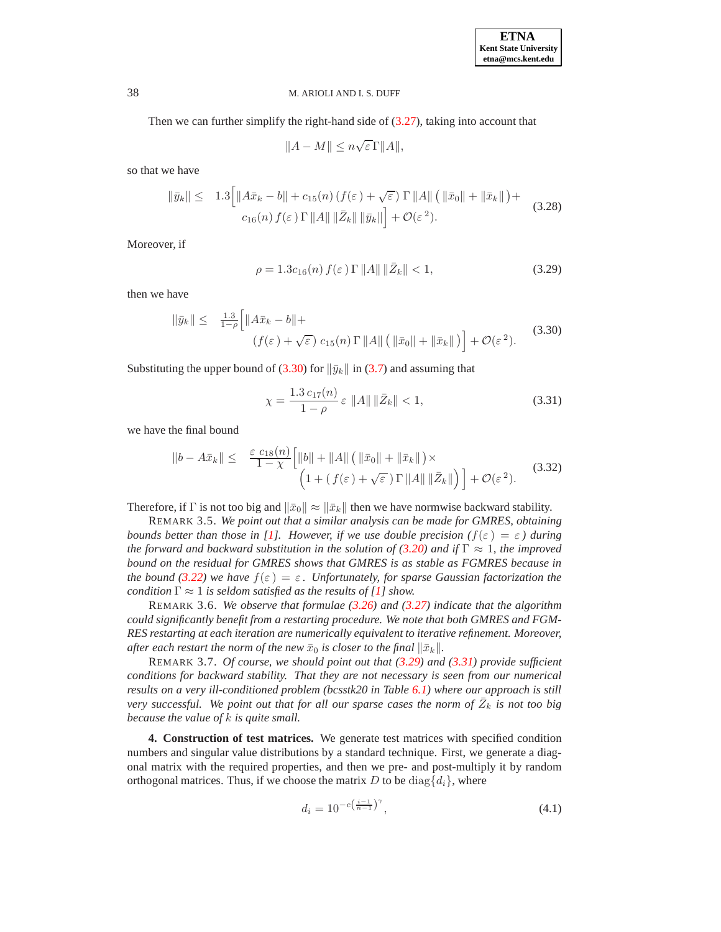Then we can further simplify the right-hand side of  $(3.27)$ , taking into account that

 $||A - M|| \leq n\sqrt{\varepsilon} \Gamma ||A||,$ 

so that we have

$$
\|\bar{y}_k\| \leq 1.3 \Big[ \|A\bar{x}_k - b\| + c_{15}(n) \left(f(\varepsilon) + \sqrt{\varepsilon}\right) \Gamma \|A\| \left(\|\bar{x}_0\| + \|\bar{x}_k\|\right) + c_{16}(n) f(\varepsilon) \Gamma \|A\| \|\bar{Z}_k\| \|\bar{y}_k\|\Big] + \mathcal{O}(\varepsilon^2). \tag{3.28}
$$

Moreover, if

<span id="page-7-2"></span>
$$
\rho = 1.3c_{16}(n) f(\varepsilon) \Gamma ||A|| ||\bar{Z}_k|| < 1,
$$
\n(3.29)

then we have

<span id="page-7-1"></span>
$$
\|\bar{y}_k\| \leq \frac{1.3}{1-\rho} \Big[ \|A\bar{x}_k - b\| +
$$
  
\n
$$
(f(\varepsilon) + \sqrt{\varepsilon}) c_{15}(n) \Gamma \|A\| \left( \|\bar{x}_0\| + \|\bar{x}_k\| \right) \Big] + \mathcal{O}(\varepsilon^2).
$$
\n(3.30)

Substituting the upper bound of [\(3.30\)](#page-7-1) for  $\|\bar{y}_k\|$  in [\(3.7\)](#page-4-0) and assuming that

<span id="page-7-3"></span>
$$
\chi = \frac{1.3 \, c_{17}(n)}{1 - \rho} \, \varepsilon \, \|A\| \, \|\bar{Z}_k\| < 1,\tag{3.31}
$$

we have the final bound

$$
\|b - A\bar{x}_k\| \leq \frac{\varepsilon c_{18}(n)}{1 - \chi} \Big[ \|b\| + \|A\| \left( \|\bar{x}_0\| + \|\bar{x}_k\| \right) \times \Big( 1 + (f(\varepsilon) + \sqrt{\varepsilon}) \Gamma \|A\| \|\bar{Z}_k\| \Big) \Big] + \mathcal{O}(\varepsilon^2). \tag{3.32}
$$

Therefore, if Γ is not too big and  $\|\bar{x}_0\| \approx \|\bar{x}_k\|$  then we have normwise backward stability.

REMARK 3.5. *We point out that a similar analysis can be made for GMRES, obtaining bounds better than those in [\[1\]](#page-12-4). However, if we use double precision*  $(f(\varepsilon) = \varepsilon)$  *during the forward and backward substitution in the solution of* [\(3.20\)](#page-6-4) *and if*  $\Gamma \approx 1$ *, the improved bound on the residual for GMRES shows that GMRES is as stable as FGMRES because in the bound* [\(3.22\)](#page-6-1) we have  $f(\varepsilon) = \varepsilon$ . Unfortunately, for sparse Gaussian factorization the *condition*  $\Gamma \approx 1$  *is seldom satisfied as the results of* [\[1\]](#page-12-4) *show.* 

REMARK 3.6. *We observe that formulae [\(3.26\)](#page-6-5) and [\(3.27\)](#page-6-3) indicate that the algorithm could significantly benefit from a restarting procedure. We note that both GMRES and FGM-RES restarting at each iteration are numerically equivalent to iterative refinement. Moreover, after each restart the norm of the new*  $\bar{x}_0$  *is closer to the final*  $\|\bar{x}_k\|$ *.* 

REMARK 3.7. *Of course, we should point out that [\(3.29\)](#page-7-2) and [\(3.31\)](#page-7-3) provide sufficient conditions for backward stability. That they are not necessary is seen from our numerical results on a very ill-conditioned problem (bcsstk20 in Table [6.1\)](#page-12-9) where our approach is still* very successful. We point out that for all our sparse cases the norm of  $\bar{Z}_k$  is not too big *because the value of* k *is quite small.*

<span id="page-7-0"></span>**4. Construction of test matrices.** We generate test matrices with specified condition numbers and singular value distributions by a standard technique. First, we generate a diagonal matrix with the required properties, and then we pre- and post-multiply it by random orthogonal matrices. Thus, if we choose the matrix D to be  $\text{diag}\{d_i\}$ , where

<span id="page-7-4"></span>
$$
d_i = 10^{-c\left(\frac{i-1}{n-1}\right)^{\gamma}},\tag{4.1}
$$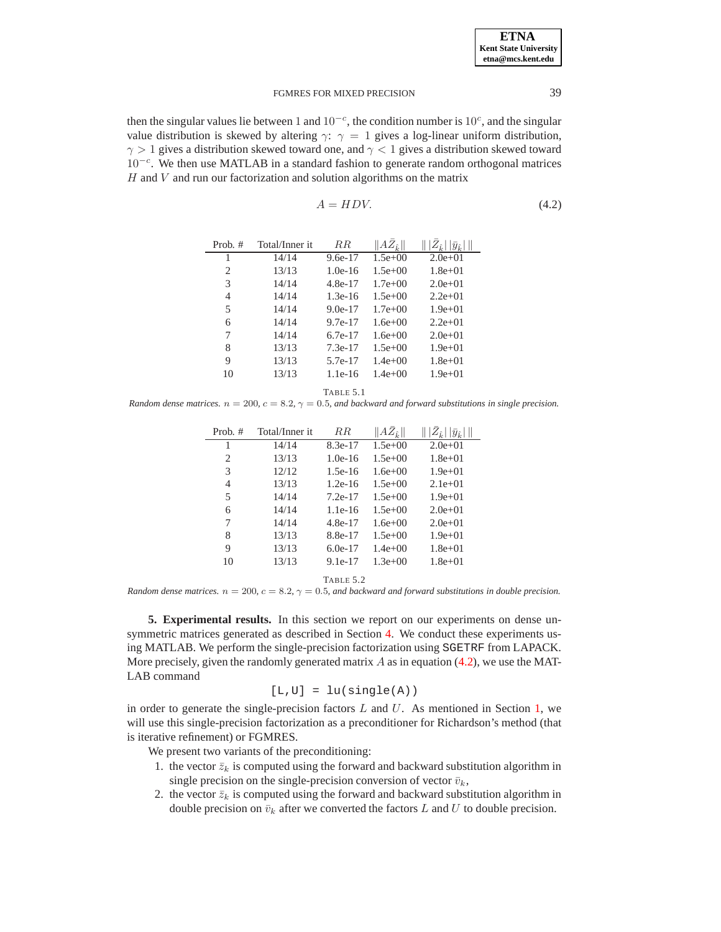then the singular values lie between 1 and  $10^{-c}$ , the condition number is  $10^{c}$ , and the singular value distribution is skewed by altering  $\gamma$ :  $\gamma = 1$  gives a log-linear uniform distribution,  $\gamma > 1$  gives a distribution skewed toward one, and  $\gamma < 1$  gives a distribution skewed toward 10<sup>-c</sup>. We then use MATLAB in a standard fashion to generate random orthogonal matrices  $H$  and  $V$  and run our factorization and solution algorithms on the matrix

<span id="page-8-1"></span>
$$
A = HDV. \t(4.2)
$$

<span id="page-8-0"></span>

| Prob. # | Total/Inner it | R.R.      | $  A\bar{Z}_{\hat{k}}  $ | $ y_{\hat{k}} $ |
|---------|----------------|-----------|--------------------------|-----------------|
| 1       | 14/14          | $9.6e-17$ | $1.5e+00$                | $2.0e + 01$     |
| 2       | 13/13          | $1.0e-16$ | $1.5e+00$                | $1.8e + 01$     |
| 3       | 14/14          | 4.8e-17   | $1.7e+00$                | $2.0e+01$       |
| 4       | 14/14          | $1.3e-16$ | $1.5e+00$                | $2.2e+01$       |
| 5       | 14/14          | $9.0e-17$ | $1.7e+00$                | $1.9e + 01$     |
| 6       | 14/14          | $9.7e-17$ | $1.6e + 00$              | $2.2e+01$       |
| 7       | 14/14          | 6.7e-17   | $1.6e + 00$              | $2.0e+01$       |
| 8       | 13/13          | $7.3e-17$ | $1.5e+00$                | $1.9e + 01$     |
| 9       | 13/13          | 5.7e-17   | $1.4e+00$                | $1.8e + 01$     |
| 10      | 13/13          | $1.1e-16$ | $1.4e + 00$              | $1.9e + 01$     |
|         |                |           |                          |                 |

TABLE 5.1

<span id="page-8-2"></span>*Random dense matrices.*  $n = 200$ ,  $c = 8.2$ ,  $\gamma = 0.5$ , and backward and forward substitutions in single precision.

| Prob. # | Total/Inner it | R.R.      | $AZ_{\hat{k}}$ | $ y_{\hat{k}} $ |
|---------|----------------|-----------|----------------|-----------------|
| 1       | 14/14          | $8.3e-17$ | $1.5e+00$      | $2.0e+01$       |
| 2       | 13/13          | $1.0e-16$ | $1.5e+00$      | $1.8e + 01$     |
| 3       | 12/12          | $1.5e-16$ | $1.6e + 00$    | $1.9e + 01$     |
| 4       | 13/13          | $1.2e-16$ | $1.5e+00$      | $2.1e+01$       |
| 5       | 14/14          | $7.2e-17$ | $1.5e+00$      | $1.9e + 01$     |
| 6       | 14/14          | $1.1e-16$ | $1.5e+00$      | $2.0e+01$       |
| 7       | 14/14          | 4.8e-17   | $1.6e + 00$    | $2.0e+01$       |
| 8       | 13/13          | 8.8e-17   | $1.5e+00$      | $1.9e + 01$     |
| 9       | 13/13          | $6.0e-17$ | $1.4e+00$      | $1.8e + 01$     |
| 10      | 13/13          | $9.1e-17$ | $1.3e+00$      | $1.8e + 01$     |
|         |                |           |                |                 |

TABLE 5.2

<span id="page-8-3"></span>*Random dense matrices.* n = 200*,* c = 8.2*,* γ = 0.5*, and backward and forward substitutions in double precision.*

**5. Experimental results.** In this section we report on our experiments on dense unsymmetric matrices generated as described in Section [4.](#page-7-0) We conduct these experiments using MATLAB. We perform the single-precision factorization using SGETRF from LAPACK. More precisely, given the randomly generated matrix  $\hat{A}$  as in equation [\(4.2\)](#page-8-1), we use the MAT-LAB command

$$
[L,U] = lu(single(A))
$$

in order to generate the single-precision factors  $L$  and  $U$ . As mentioned in Section [1,](#page-0-1) we will use this single-precision factorization as a preconditioner for Richardson's method (that is iterative refinement) or FGMRES.

We present two variants of the preconditioning:

- 1. the vector  $\bar{z}_k$  is computed using the forward and backward substitution algorithm in single precision on the single-precision conversion of vector  $\bar{v}_k$ ,
- 2. the vector  $\bar{z}_k$  is computed using the forward and backward substitution algorithm in double precision on  $\bar{v}_k$  after we converted the factors L and U to double precision.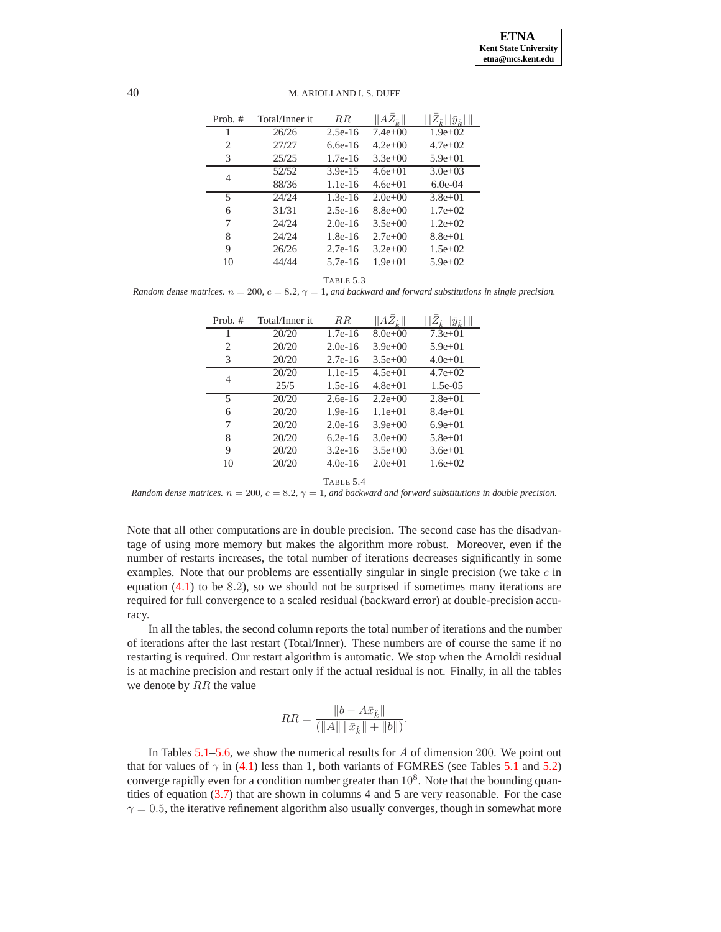| Prob. #        | Total/Inner it | $_{RR}$   | $  AZ_{\hat{k}}  $ | $\   Z_{\hat k} \,  \bar y_{\hat k} \, \ $ |
|----------------|----------------|-----------|--------------------|--------------------------------------------|
| 1              | 26/26          | $2.5e-16$ | $7.4e+00$          | $1.9e+02$                                  |
| 2              | 27/27          | $6.6e-16$ | $4.2e+00$          | $4.7e+02$                                  |
| 3              | 25/25          | $1.7e-16$ | $3.3e+00$          | $5.9e + 01$                                |
| 4              | 52/52          | $3.9e-15$ | $4.6e+01$          | $3.0e + 0.3$                               |
|                | 88/36          | $1.1e-16$ | $4.6e+01$          | $6.0e-04$                                  |
| $\overline{5}$ | 24/24          | $1.3e-16$ | $2.0e+0.0$         | $3.8e + 01$                                |
| 6              | 31/31          | $2.5e-16$ | $8.8e+00$          | $1.7e+02$                                  |
| 7              | 24/24          | $2.0e-16$ | $3.5e+00$          | $1.2e+02$                                  |
| 8              | 24/24          | $1.8e-16$ | $2.7e+00$          | $8.8e+01$                                  |
| 9              | 26/26          | $2.7e-16$ | $3.2e+00$          | $1.5e+02$                                  |
| 10             | 44/44          | $5.7e-16$ | $1.9e + 01$        | $5.9e + 02$                                |

TABLE 5.3

<span id="page-9-0"></span>*Random dense matrices.*  $n = 200$ ,  $c = 8.2$ ,  $\gamma = 1$ , and backward and forward substitutions in single precision.

| Prob. # | Total/Inner it | $_{RR}$   | $  A\bar{Z}_{\hat{k}}  $ | $\   Z_{\hat k} \,  \bar y_{\hat k} \, \ $ |
|---------|----------------|-----------|--------------------------|--------------------------------------------|
| 1       | 20/20          | $1.7e-16$ | $8.0e+0.0$               | $7.3e+01$                                  |
| 2       | 20/20          | $2.0e-16$ | $3.9e+00$                | $5.9e + 01$                                |
| 3       | 20/20          | $2.7e-16$ | $3.5e+00$                | $4.0e+01$                                  |
| 4       | 20/20          | $1.1e-15$ | $4.5e+01$                | $4.7e+02$                                  |
|         | 25/5           | $1.5e-16$ | $4.8e+01$                | $1.5e-0.5$                                 |
| 5       | 20/20          | $2.6e-16$ | $2.2e+00$                | $2.8e+01$                                  |
| 6       | 20/20          | $1.9e-16$ | $1.1e+01$                | $8.4e+01$                                  |
| 7       | 20/20          | $2.0e-16$ | $3.9e + 00$              | $6.9e+01$                                  |
| 8       | 20/20          | $6.2e-16$ | $3.0e + 00$              | $5.8e+01$                                  |
| 9       | 20/20          | $3.2e-16$ | $3.5e+00$                | $3.6e + 01$                                |
| 10      | 20/20          | $4.0e-16$ | $2.0e+01$                | $1.6e+02$                                  |
|         |                | TABLE 5.4 |                          |                                            |

<span id="page-9-1"></span>*Random dense matrices.*  $n = 200$ ,  $c = 8.2$ ,  $\gamma = 1$ , and backward and forward substitutions in double precision.

Note that all other computations are in double precision. The second case has the disadvantage of using more memory but makes the algorithm more robust. Moreover, even if the number of restarts increases, the total number of iterations decreases significantly in some examples. Note that our problems are essentially singular in single precision (we take  $c$  in equation  $(4.1)$  to be 8.2), so we should not be surprised if sometimes many iterations are required for full convergence to a scaled residual (backward error) at double-precision accuracy.

In all the tables, the second column reports the total number of iterations and the number of iterations after the last restart (Total/Inner). These numbers are of course the same if no restarting is required. Our restart algorithm is automatic. We stop when the Arnoldi residual is at machine precision and restart only if the actual residual is not. Finally, in all the tables we denote by  $RR$  the value

$$
RR = \frac{\|b - A\bar{x}_{\hat{k}}\|}{(\|A\| \|\bar{x}_{\hat{k}}\| + \|b\|)}.
$$

In Tables  $5.1-5.6$ , we show the numerical results for  $\overline{A}$  of dimension 200. We point out that for values of  $\gamma$  in [\(4.1\)](#page-7-4) less than 1, both variants of FGMRES (see Tables [5.1](#page-8-2) and [5.2\)](#page-8-3) converge rapidly even for a condition number greater than  $10^8$ . Note that the bounding quantities of equation [\(3.7\)](#page-4-0) that are shown in columns 4 and 5 are very reasonable. For the case  $\gamma = 0.5$ , the iterative refinement algorithm also usually converges, though in somewhat more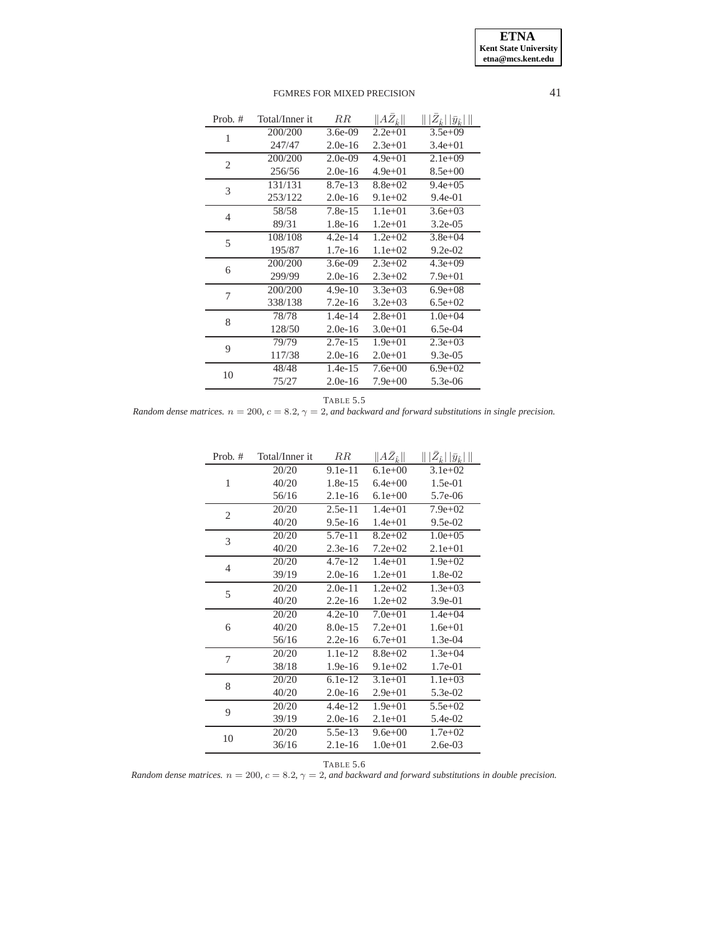| 200/200<br>$3.6e-09$<br>$3.5e+09$<br>$2.2e+01$<br>1<br>247/47<br>$2.0e-16$<br>$2.3e+01$<br>$3.4e + 01$<br>200/200<br>$2.0e-09$<br>$4.9e+01$<br>$2.1e+09$<br>$\overline{2}$<br>256/56<br>$2.0e-16$<br>$8.5e+00$<br>$4.9e+01$<br>8.7e-13<br>$8.8e + 02$<br>131/131<br>$9.4e + 0.5$<br>3<br>253/122<br>$9.1e+02$<br>$2.0e-16$<br>$9.4e-01$<br>$7.8e-15$<br>$1.1e+01$<br>58/58<br>$3.6e + 03$<br>$\overline{4}$<br>89/31<br>$1.8e-16$<br>$1.2e + 01$<br>$3.2e-0.5$<br>108/108<br>$4.2e-14$<br>$1.2e+02$<br>$3.8e + 04$<br>5<br>195/87<br>$1.7e-16$<br>$1.1e+02$<br>$9.2e-02$<br>200/200<br>$3.6e-09$<br>$2.3e+0.2$<br>$4.3e+09$<br>6<br>299/99<br>$2.0e-16$<br>$2.3e+0.2$<br>$7.9e + 01$<br>200/200<br>$3.3e+03$<br>$6.9e + 08$<br>$4.9e-10$<br>7<br>338/138<br>$7.2e-16$<br>$3.2e+03$<br>$6.5e+02$<br>$1.4e-14$<br>$2.8e + 01$<br>$1.0e + 04$<br>78/78<br>8<br>128/50<br>$2.0e-16$<br>$3.0e + 01$<br>$6.5e-04$<br>$2.7e-15$<br>$1.9e + 01$<br>$2.3e+03$<br>79/79<br>9<br>117/38<br>$2.0e-16$<br>$2.0e + 01$<br>$9.3e-0.5$<br>$1.4e-15$<br>48/48<br>$7.6e + 00$<br>$6.9e + 02$<br>10<br>75/27<br>$2.0e-16$<br>$7.9e+00$<br>5.3e-06 | Prob. # | Total/Inner it | $_{RR}$ | $  A\bar{Z}_{\hat{k}}  $ | $\ \,  \bar{Z}_{\hat{k}} \,  \bar{y}_{\hat{k}} \, \ $ |
|--------------------------------------------------------------------------------------------------------------------------------------------------------------------------------------------------------------------------------------------------------------------------------------------------------------------------------------------------------------------------------------------------------------------------------------------------------------------------------------------------------------------------------------------------------------------------------------------------------------------------------------------------------------------------------------------------------------------------------------------------------------------------------------------------------------------------------------------------------------------------------------------------------------------------------------------------------------------------------------------------------------------------------------------------------------------------------------------------------------------------------|---------|----------------|---------|--------------------------|-------------------------------------------------------|
|                                                                                                                                                                                                                                                                                                                                                                                                                                                                                                                                                                                                                                                                                                                                                                                                                                                                                                                                                                                                                                                                                                                                |         |                |         |                          |                                                       |
|                                                                                                                                                                                                                                                                                                                                                                                                                                                                                                                                                                                                                                                                                                                                                                                                                                                                                                                                                                                                                                                                                                                                |         |                |         |                          |                                                       |
|                                                                                                                                                                                                                                                                                                                                                                                                                                                                                                                                                                                                                                                                                                                                                                                                                                                                                                                                                                                                                                                                                                                                |         |                |         |                          |                                                       |
|                                                                                                                                                                                                                                                                                                                                                                                                                                                                                                                                                                                                                                                                                                                                                                                                                                                                                                                                                                                                                                                                                                                                |         |                |         |                          |                                                       |
|                                                                                                                                                                                                                                                                                                                                                                                                                                                                                                                                                                                                                                                                                                                                                                                                                                                                                                                                                                                                                                                                                                                                |         |                |         |                          |                                                       |
|                                                                                                                                                                                                                                                                                                                                                                                                                                                                                                                                                                                                                                                                                                                                                                                                                                                                                                                                                                                                                                                                                                                                |         |                |         |                          |                                                       |
|                                                                                                                                                                                                                                                                                                                                                                                                                                                                                                                                                                                                                                                                                                                                                                                                                                                                                                                                                                                                                                                                                                                                |         |                |         |                          |                                                       |
|                                                                                                                                                                                                                                                                                                                                                                                                                                                                                                                                                                                                                                                                                                                                                                                                                                                                                                                                                                                                                                                                                                                                |         |                |         |                          |                                                       |
|                                                                                                                                                                                                                                                                                                                                                                                                                                                                                                                                                                                                                                                                                                                                                                                                                                                                                                                                                                                                                                                                                                                                |         |                |         |                          |                                                       |
|                                                                                                                                                                                                                                                                                                                                                                                                                                                                                                                                                                                                                                                                                                                                                                                                                                                                                                                                                                                                                                                                                                                                |         |                |         |                          |                                                       |
|                                                                                                                                                                                                                                                                                                                                                                                                                                                                                                                                                                                                                                                                                                                                                                                                                                                                                                                                                                                                                                                                                                                                |         |                |         |                          |                                                       |
|                                                                                                                                                                                                                                                                                                                                                                                                                                                                                                                                                                                                                                                                                                                                                                                                                                                                                                                                                                                                                                                                                                                                |         |                |         |                          |                                                       |
|                                                                                                                                                                                                                                                                                                                                                                                                                                                                                                                                                                                                                                                                                                                                                                                                                                                                                                                                                                                                                                                                                                                                |         |                |         |                          |                                                       |
|                                                                                                                                                                                                                                                                                                                                                                                                                                                                                                                                                                                                                                                                                                                                                                                                                                                                                                                                                                                                                                                                                                                                |         |                |         |                          |                                                       |
|                                                                                                                                                                                                                                                                                                                                                                                                                                                                                                                                                                                                                                                                                                                                                                                                                                                                                                                                                                                                                                                                                                                                |         |                |         |                          |                                                       |
|                                                                                                                                                                                                                                                                                                                                                                                                                                                                                                                                                                                                                                                                                                                                                                                                                                                                                                                                                                                                                                                                                                                                |         |                |         |                          |                                                       |
|                                                                                                                                                                                                                                                                                                                                                                                                                                                                                                                                                                                                                                                                                                                                                                                                                                                                                                                                                                                                                                                                                                                                |         |                |         |                          |                                                       |
|                                                                                                                                                                                                                                                                                                                                                                                                                                                                                                                                                                                                                                                                                                                                                                                                                                                                                                                                                                                                                                                                                                                                |         |                |         |                          |                                                       |
|                                                                                                                                                                                                                                                                                                                                                                                                                                                                                                                                                                                                                                                                                                                                                                                                                                                                                                                                                                                                                                                                                                                                |         |                |         |                          |                                                       |
|                                                                                                                                                                                                                                                                                                                                                                                                                                                                                                                                                                                                                                                                                                                                                                                                                                                                                                                                                                                                                                                                                                                                |         |                |         |                          |                                                       |

TABLE 5.5

<span id="page-10-1"></span>*Random dense matrices.*  $n = 200$ ,  $c = 8.2$ ,  $\gamma = 2$ , and backward and forward substitutions in single precision.

| Prob. $#$    | Total/Inner it | $_{RR}$   | $  A\bar{Z}_{\hat{k}}  $ | $\ \,  \bar{Z}_{\hat{k}} \,  \bar{y}_{\hat{k}} \,\ $ |
|--------------|----------------|-----------|--------------------------|------------------------------------------------------|
|              | 20/20          | $9.1e-11$ | $6.1e+00$                | $3.1e+02$                                            |
| $\mathbf{1}$ | 40/20          | $1.8e-15$ | $6.4e + 00$              | $1.5e-01$                                            |
|              | 56/16          | $2.1e-16$ | $6.1e+00$                | 5.7e-06                                              |
| 2            | 20/20          | $2.5e-11$ | $1.4e+01$                | $7.9e+02$                                            |
|              | 40/20          | $9.5e-16$ | $1.4e + 01$              | $9.5e-02$                                            |
| 3            | 20/20          | 5.7e-11   | $8.2e + 02$              | $1.0e + 0.5$                                         |
|              | 40/20          | $2.3e-16$ | $7.2e + 02$              | $2.1e+01$                                            |
| 4            | 20/20          | $4.7e-12$ | $1.4e + 01$              | $1.9e + 02$                                          |
|              | 39/19          | $2.0e-16$ | $1.2e + 01$              | 1.8e-02                                              |
| 5            | 20/20          | $2.0e-11$ | $1.2e + 02$              | $1.3e+03$                                            |
|              | 40/20          | $2.2e-16$ | $1.2e + 02$              | 3.9e-01                                              |
|              | 20/20          | $4.2e-10$ | $7.0e + 01$              | $1.4e + 04$                                          |
| 6            | 40/20          | $8.0e-15$ | $7.2e + 01$              | $1.6e + 01$                                          |
|              | 56/16          | $2.2e-16$ | $6.7e + 01$              | $1.3e-04$                                            |
| 7            | 20/20          | $1.1e-12$ | $8.8e+02$                | $1.3e + 04$                                          |
|              | 38/18          | $1.9e-16$ | $9.1e+02$                | 1.7e-01                                              |
| 8            | 20/20          | $6.1e-12$ | $3.1e + 01$              | $1.1e+03$                                            |
|              | 40/20          | $2.0e-16$ | $2.9e + 01$              | 5.3e-02                                              |
| 9            | 20/20          | $4.4e-12$ | $1.9e + 01$              | $5.5e+02$                                            |
|              | 39/19          | $2.0e-16$ | $2.1e+01$                | 5.4e-02                                              |
| 10           | 20/20          | $5.5e-13$ | $9.6e + 00$              | $1.7e + 02$                                          |
|              | 36/16          | $2.1e-16$ | $1.0e + 01$              | $2.6e-03$                                            |
|              |                |           |                          |                                                      |

#### TABLE 5.6

<span id="page-10-0"></span>*Random dense matrices.*  $n = 200$ ,  $c = 8.2$ ,  $\gamma = 2$ , and backward and forward substitutions in double precision.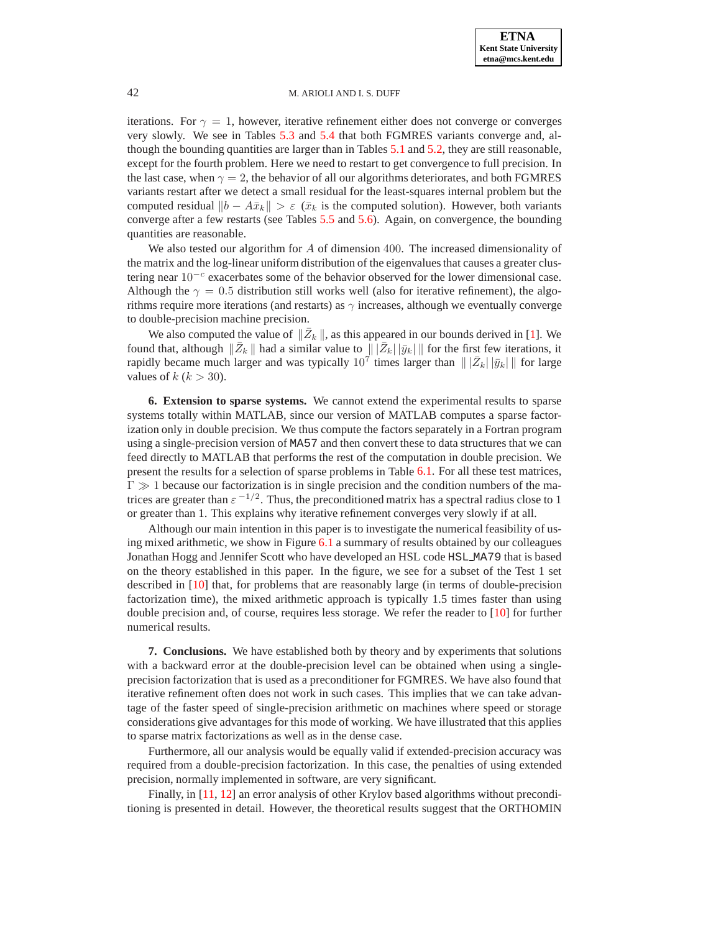iterations. For  $\gamma = 1$ , however, iterative refinement either does not converge or converges very slowly. We see in Tables [5.3](#page-9-0) and [5.4](#page-9-1) that both FGMRES variants converge and, although the bounding quantities are larger than in Tables [5.1](#page-8-2) and [5.2,](#page-8-3) they are still reasonable, except for the fourth problem. Here we need to restart to get convergence to full precision. In the last case, when  $\gamma = 2$ , the behavior of all our algorithms deteriorates, and both FGMRES variants restart after we detect a small residual for the least-squares internal problem but the computed residual  $||b - A\bar{x}_k|| > \varepsilon$  ( $\bar{x}_k$  is the computed solution). However, both variants converge after a few restarts (see Tables [5.5](#page-10-1) and [5.6\)](#page-10-0). Again, on convergence, the bounding quantities are reasonable.

We also tested our algorithm for  $A$  of dimension 400. The increased dimensionality of the matrix and the log-linear uniform distribution of the eigenvalues that causes a greater clustering near 10<sup>-c</sup> exacerbates some of the behavior observed for the lower dimensional case. Although the  $\gamma = 0.5$  distribution still works well (also for iterative refinement), the algorithms require more iterations (and restarts) as  $\gamma$  increases, although we eventually converge to double-precision machine precision.

We also computed the value of  $\|\bar{Z}_k\|$ , as this appeared in our bounds derived in [\[1\]](#page-12-4). We found that, although  $\|\bar{Z}_k\|$  had a similar value to  $\|\bar{Z}_k\| \|\bar{y}_k\|$  for the first few iterations, it rapidly became much larger and was typically  $10^7$  times larger than  $\| | \bar{Z}_k | |\bar{y}_k | \|$  for large values of  $k (k > 30)$ .

<span id="page-11-0"></span>**6. Extension to sparse systems.** We cannot extend the experimental results to sparse systems totally within MATLAB, since our version of MATLAB computes a sparse factorization only in double precision. We thus compute the factors separately in a Fortran program using a single-precision version of MA57 and then convert these to data structures that we can feed directly to MATLAB that performs the rest of the computation in double precision. We present the results for a selection of sparse problems in Table [6.1.](#page-12-9) For all these test matrices,  $\Gamma \gg 1$  because our factorization is in single precision and the condition numbers of the matrices are greater than  $\varepsilon^{-1/2}$ . Thus, the preconditioned matrix has a spectral radius close to 1 or greater than 1. This explains why iterative refinement converges very slowly if at all.

Although our main intention in this paper is to investigate the numerical feasibility of using mixed arithmetic, we show in Figure [6.1](#page-13-7) a summary of results obtained by our colleagues Jonathan Hogg and Jennifer Scott who have developed an HSL code HSL MA79 that is based on the theory established in this paper. In the figure, we see for a subset of the Test 1 set described in [\[10\]](#page-13-1) that, for problems that are reasonably large (in terms of double-precision factorization time), the mixed arithmetic approach is typically 1.5 times faster than using double precision and, of course, requires less storage. We refer the reader to [\[10\]](#page-13-1) for further numerical results.

<span id="page-11-1"></span>**7. Conclusions.** We have established both by theory and by experiments that solutions with a backward error at the double-precision level can be obtained when using a singleprecision factorization that is used as a preconditioner for FGMRES. We have also found that iterative refinement often does not work in such cases. This implies that we can take advantage of the faster speed of single-precision arithmetic on machines where speed or storage considerations give advantages for this mode of working. We have illustrated that this applies to sparse matrix factorizations as well as in the dense case.

Furthermore, all our analysis would be equally valid if extended-precision accuracy was required from a double-precision factorization. In this case, the penalties of using extended precision, normally implemented in software, are very significant.

Finally, in [\[11,](#page-13-8) [12\]](#page-13-9) an error analysis of other Krylov based algorithms without preconditioning is presented in detail. However, the theoretical results suggest that the ORTHOMIN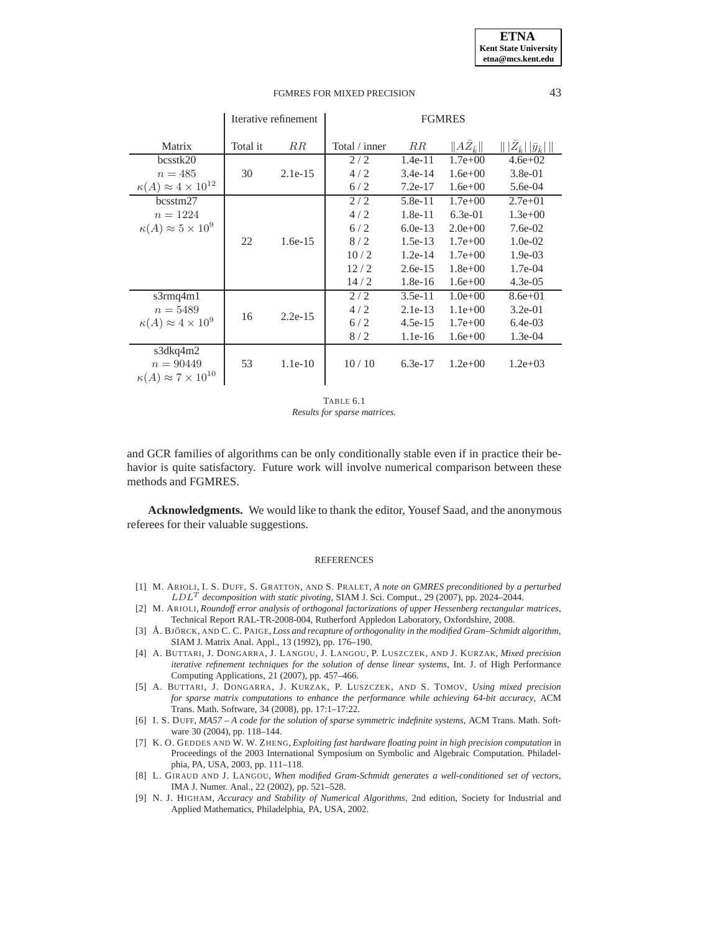|                                                                 | Iterative refinement |           | <b>FGMRES</b> |           |                          |                                         |
|-----------------------------------------------------------------|----------------------|-----------|---------------|-----------|--------------------------|-----------------------------------------|
| Matrix                                                          | Total it             | $_{RR}$   | Total / inner | RR        | $  A\bar{Z}_{\hat{k}}  $ | $   Z_{\hat{k}}  \bar{y}_{\hat{k}}    $ |
| bcsstk20                                                        |                      |           | 2/2           | 1.4e-11   | $1.7e+00$                | $4.6e + 02$                             |
| $n = 485$                                                       | 30                   | $2.1e-15$ | 4/2           | $3.4e-14$ | $1.6e + 00$              | 3.8e-01                                 |
| $\kappa(A) \approx 4 \times 10^{12}$                            |                      |           | 6/2           | $7.2e-17$ | $1.6e + 00$              | 5.6e-04                                 |
| bcsstm27                                                        |                      |           | 2/2           | $5.8e-11$ | $1.7e+00$                | $2.7e + 01$                             |
| $n = 1224$                                                      |                      |           | 4/2           | $1.8e-11$ | $6.3e-01$                | $1.3e+00$                               |
| $\kappa(A) \approx 5 \times 10^9$                               |                      |           | 6/2           | $6.0e-13$ | $2.0e+00$                | $7.6e-02$                               |
|                                                                 | 22                   | $1.6e-15$ | 8/2           | $1.5e-13$ | $1.7e + 00$              | $1.0e-02$                               |
|                                                                 |                      |           | 10/2          | $1.2e-14$ | $1.7e + 00$              | $1.9e-03$                               |
|                                                                 |                      |           | 12/2          | $2.6e-15$ | $1.8e + 00$              | $1.7e-04$                               |
|                                                                 |                      |           | 14/2          | $1.8e-16$ | $1.6e + 00$              | $4.3e-0.5$                              |
| s3rmq4m1                                                        |                      |           | 2/2           | $3.5e-11$ | $1.0e + 00$              | $8.6e + 01$                             |
| $n = 5489$                                                      | 16                   |           | 4/2           | $2.1e-13$ | $1.1e+00$                | $3.2e-01$                               |
| $\kappa(A) \approx 4 \times 10^9$                               |                      | $2.2e-15$ | 6/2           | $4.5e-15$ | $1.7e + 00$              | $6.4e-03$                               |
|                                                                 |                      |           | 8/2           | $1.1e-16$ | $1.6e + 00$              | $1.3e-04$                               |
| s3dkq4m2<br>$n = 90449$<br>$\kappa(A) \approx 7 \times 10^{10}$ | 53                   | $1.1e-10$ | 10/10         | $6.3e-17$ | $1.2e+00$                | $1.2e+03$                               |

<span id="page-12-9"></span>TABLE 6.1 *Results for sparse matrices.*

and GCR families of algorithms can be only conditionally stable even if in practice their behavior is quite satisfactory. Future work will involve numerical comparison between these methods and FGMRES.

**Acknowledgments.** We would like to thank the editor, Yousef Saad, and the anonymous referees for their valuable suggestions.

#### **REFERENCES**

- <span id="page-12-4"></span>[1] M. ARIOLI, I. S. DUFF, S. GRATTON, AND S. PRALET, *A note on GMRES preconditioned by a perturbed* LDL<sup>T</sup> *decomposition with static pivoting*, SIAM J. Sci. Comput., 29 (2007), pp. 2024–2044.
- <span id="page-12-8"></span>[2] M. ARIOLI, *Roundoff error analysis of orthogonal factorizations of upper Hessenberg rectangular matrices*, Technical Report RAL-TR-2008-004, Rutherford Appledon Laboratory, Oxfordshire, 2008.
- <span id="page-12-6"></span>[3] Å. BJÖRCK, AND C. C. PAIGE, *Loss and recapture of orthogonality in the modified Gram–Schmidt algorithm*, SIAM J. Matrix Anal. Appl., 13 (1992), pp. 176–190.
- <span id="page-12-0"></span>[4] A. BUTTARI, J. DONGARRA, J. LANGOU, J. LANGOU, P. LUSZCZEK, AND J. KURZAK, *Mixed precision iterative refinement techniques for the solution of dense linear systems*, Int. J. of High Performance Computing Applications, 21 (2007), pp. 457–466.
- <span id="page-12-2"></span>[5] A. BUTTARI, J. DONGARRA, J. KURZAK, P. LUSZCZEK, AND S. TOMOV, *Using mixed precision for sparse matrix computations to enhance the performance while achieving 64-bit accuracy*, ACM Trans. Math. Software, 34 (2008), pp. 17:1–17:22.
- <span id="page-12-3"></span>[6] I. S. DUFF, *MA57 – A code for the solution of sparse symmetric indefinite systems*, ACM Trans. Math. Software 30 (2004), pp. 118–144.
- <span id="page-12-1"></span>[7] K. O. GEDDES AND W. W. ZHENG, *Exploiting fast hardware floating point in high precision computation* in Proceedings of the 2003 International Symposium on Symbolic and Algebraic Computation. Philadelphia, PA, USA, 2003, pp. 111–118.
- <span id="page-12-7"></span>[8] L. GIRAUD AND J. LANGOU, *When modified Gram-Schmidt generates a well-conditioned set of vectors*, IMA J. Numer. Anal., 22 (2002), pp. 521–528.
- <span id="page-12-5"></span>[9] N. J. HIGHAM, *Accuracy and Stability of Numerical Algorithms*, 2nd edition, Society for Industrial and Applied Mathematics, Philadelphia, PA, USA, 2002.